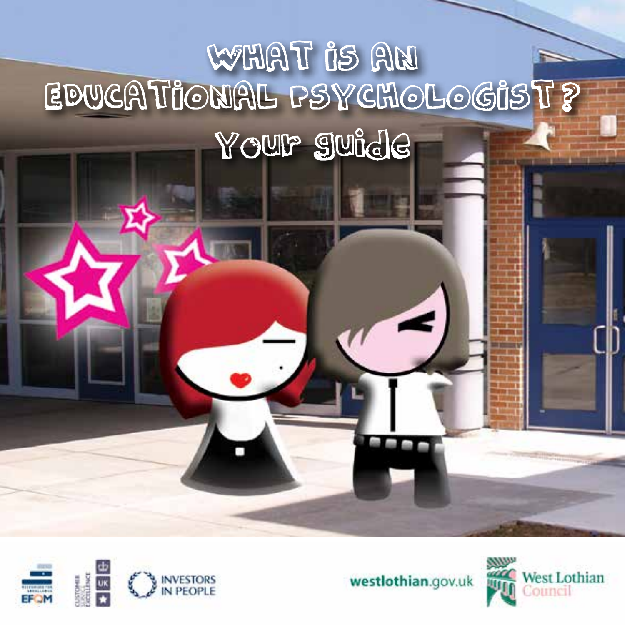# WART IS AN EDUCATIONAL PSYCHOLOGIST? Your suide





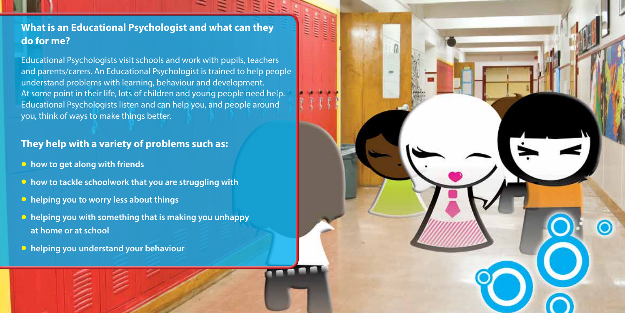## **What is an Educational Psychologist and what can they do for me?**

Educational Psychologists visit schools and work with pupils, teachers and parents/carers. An Educational Psychologist is trained to help people understand problems with learning, behaviour and development. At some point in their life, lots of children and young people need help. Educational Psychologists listen and can help you, and people around you, think of ways to make things better.

#### **They help with a variety of problems such as:**

- **how to get along with friends**
- **how to tackle schoolwork that you are struggling with**
- **helping you to worry less about things**
- **helping you with something that is making you unhappy at home or at school**
- **helping you understand your behaviour**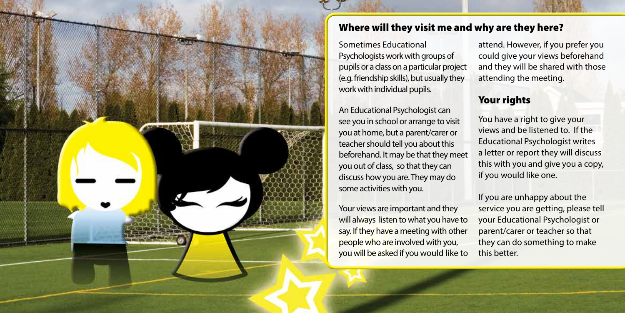

## Where will they visit me and why are they here?

Sometimes Educational Psychologists work with groups of pupils or a class on a particular project (e.g. friendship skills), but usually they work with individual pupils.

An Educational Psychologist can see you in school or arrange to visit you at home, but a parent/carer or teacher should tell you about this beforehand. It may be that they meet you out of class, so that they can discuss how you are. They may do some activities with you.

Your views are important and they will always listen to what you have to say. If they have a meeting with other people who are involved with you, you will be asked if you would like to attend. However, if you prefer you could give your views beforehand and they will be shared with those attending the meeting.

#### Your rights

You have a right to give your views and be listened to. If the Educational Psychologist writes a letter or report they will discuss this with you and give you a copy, if you would like one.

If you are unhappy about the service you are getting, please tell your Educational Psychologist or parent/carer or teacher so that they can do something to make this better.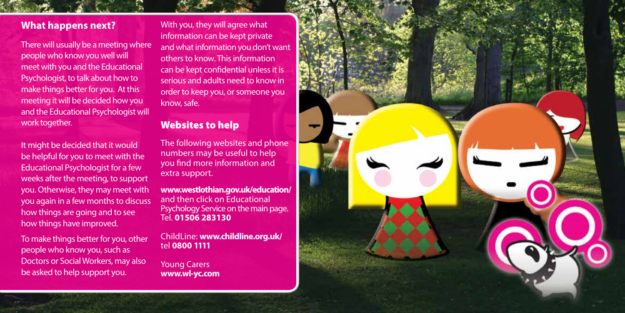#### **What happens next?**

There will usually be a meeting where people who know you well will meet with you and the Educational Psychologist, to talk about how to make things better for you. At this meeting it will be decided how you and the Educational Psychologist will work together.

It might be decided that it would be helpful for you to meet with the Educational Psychologist for a few weeks after the meeting, to support you. Otherwise, they may meet with you again in a few months to discuss how things are going and to see how things have improved.

To make things better for you, other people who know you, such as Doctors or Social Workers, may also be asked to help support you.

With you, they will agree what information can be kept private and what information you don't want others to know. This information can be kept confidential unless it is serious and adults need to know in order to keep you, or someone you know, safe.

### Websites to help

The following websites and phone numbers may be useful to help you find more information and extra support.

**www.westlothian.gov.uk/education/**  and then click on Educational Psychology Service on the main page. Tel. **01506 283130**

ChildLine: **www.childline.org.uk/** tel **0800 1111**

Young Carers **www.wl-yc.com**